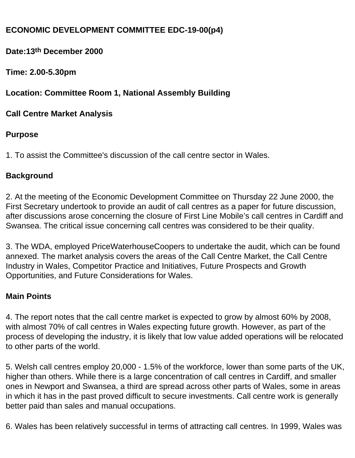# **ECONOMIC DEVELOPMENT COMMITTEE EDC-19-00(p4)**

**Date:13th December 2000**

**Time: 2.00-5.30pm**

**Location: Committee Room 1, National Assembly Building**

**Call Centre Market Analysis**

## **Purpose**

1. To assist the Committee's discussion of the call centre sector in Wales.

## **Background**

2. At the meeting of the Economic Development Committee on Thursday 22 June 2000, the First Secretary undertook to provide an audit of call centres as a paper for future discussion, after discussions arose concerning the closure of First Line Mobile's call centres in Cardiff and Swansea. The critical issue concerning call centres was considered to be their quality.

3. The WDA, employed PriceWaterhouseCoopers to undertake the audit, which can be found annexed. The market analysis covers the areas of the Call Centre Market, the Call Centre Industry in Wales, Competitor Practice and Initiatives, Future Prospects and Growth Opportunities, and Future Considerations for Wales.

#### **Main Points**

4. The report notes that the call centre market is expected to grow by almost 60% by 2008, with almost 70% of call centres in Wales expecting future growth. However, as part of the process of developing the industry, it is likely that low value added operations will be relocated to other parts of the world.

5. Welsh call centres employ 20,000 - 1.5% of the workforce, lower than some parts of the UK, higher than others. While there is a large concentration of call centres in Cardiff, and smaller ones in Newport and Swansea, a third are spread across other parts of Wales, some in areas in which it has in the past proved difficult to secure investments. Call centre work is generally better paid than sales and manual occupations.

6. Wales has been relatively successful in terms of attracting call centres. In 1999, Wales was